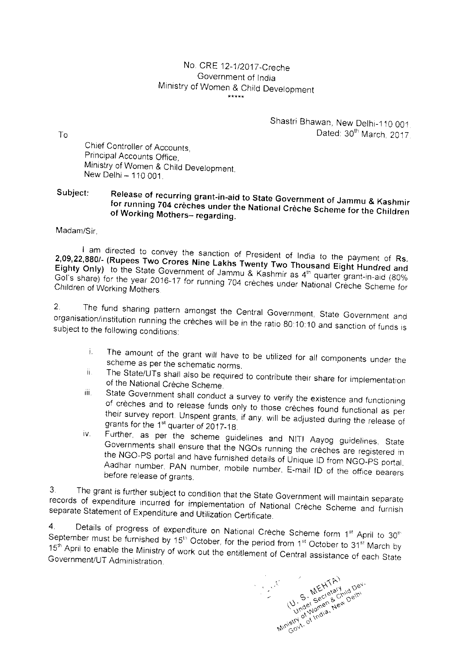## No. CRE 12-1/2017-Creche Government of India Ministry of Women & Child Development

Shastri Bhawan, New Delhi-110 001. Dated: 30th March. 2017

Chief Controller of Accounts, Principal Accounts Office, Ministry of Women & Child Development, New Delhi - 110 001.

## Subject: Release of recurring grant-in-aid to State Government of Jammu & Kashmir for running 704 crèches under the National Crèche Scheme for the Children of Working Mothers- regarding.

Madam/Sir,

I am directed to convey the sanction of President of India to the payment of Rs. 2,09,22,880/- (Rupees Two Crores Nine Lakhs Twenty Two Thousand Eight Hundred and Eighty Only) to the State Government of Jammu & Kashmir as 4<sup>th</sup> quarter grant-in-aid (80% Gol's share) for the year 2016-17 for running 704 crèches under National Crèche Scheme for Children of Working Mothers.

The fund sharing pattern amongst the Central Government, State Government and  $2.$ organisation/institution running the crèches will be in the ratio 80:10:10 and sanction of funds is subject to the following conditions:

- The amount of the grant will have to be utilized for all components under the i. scheme as per the schematic norms.
- The State/UTs shall also be required to contribute their share for implementation ii. of the National Crèche Scheme.
- State Government shall conduct a survey to verify the existence and functioning iii. of crèches and to release funds only to those crèches found functional as per their survey report. Unspent grants, if any, will be adjusted during the release of grants for the 1<sup>st</sup> quarter of 2017-18.
- Further, as per the scheme guidelines and NITI Aayog guidelines, State iv. Governments shall ensure that the NGOs running the creches are registered in the NGO-PS portal and have furnished details of Unique ID from NGO-PS portal. Aadhar number. PAN number, mobile number. E-mail ID of the office bearers before release of grants.

3. The grant is further subject to condition that the State Government will maintain separate records of expenditure incurred for implementation of National Creche Scheme and furnish separate Statement of Expenditure and Utilization Certificate.

Details of progress of expenditure on National Crèche Scheme form 1st April to 30th  $4<sub>1</sub>$ September must be furnished by 15<sup>th</sup> October, for the period from 1<sup>st</sup> October to 31<sup>st</sup> March by 15<sup>th</sup> April to enable the Ministry of work out the entitlement of Central assistance of each State Government/UT Administration.

Ministry of India, New October 1974

To